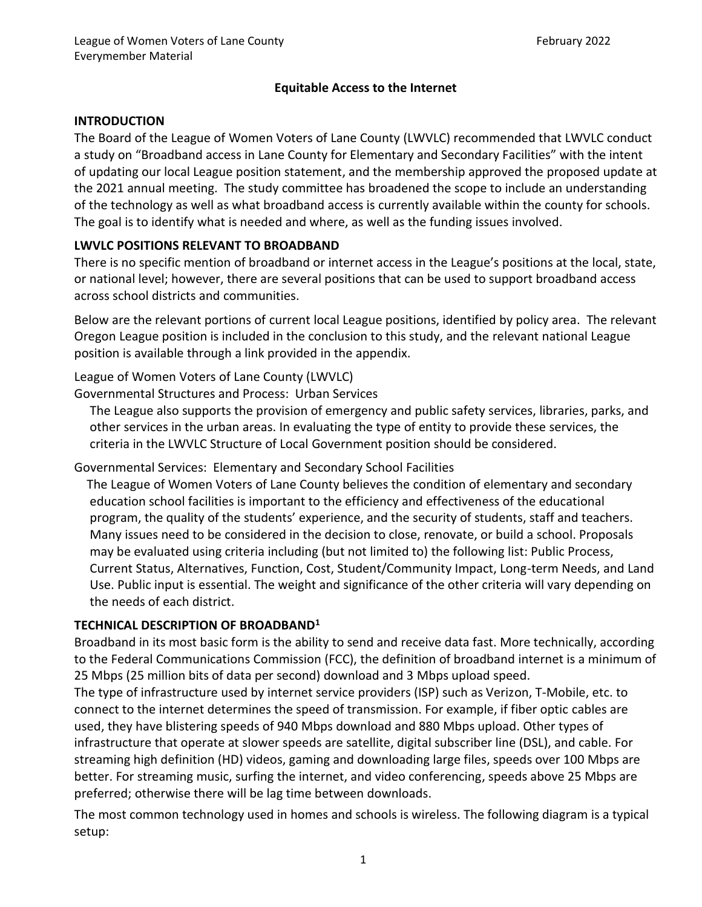### **Equitable Access to the Internet**

### **INTRODUCTION**

The Board of the League of Women Voters of Lane County (LWVLC) recommended that LWVLC conduct a study on "Broadband access in Lane County for Elementary and Secondary Facilities" with the intent of updating our local League position statement, and the membership approved the proposed update at the 2021 annual meeting. The study committee has broadened the scope to include an understanding of the technology as well as what broadband access is currently available within the county for schools. The goal is to identify what is needed and where, as well as the funding issues involved.

## **LWVLC POSITIONS RELEVANT TO BROADBAND**

There is no specific mention of broadband or internet access in the League's positions at the local, state, or national level; however, there are several positions that can be used to support broadband access across school districts and communities.

Below are the relevant portions of current local League positions, identified by policy area. The relevant Oregon League position is included in the conclusion to this study, and the relevant national League position is available through a link provided in the appendix.

League of Women Voters of Lane County (LWVLC)

Governmental Structures and Process: Urban Services

The League also supports the provision of emergency and public safety services, libraries, parks, and other services in the urban areas. In evaluating the type of entity to provide these services, the criteria in the LWVLC Structure of Local Government position should be considered.

Governmental Services: Elementary and Secondary School Facilities

 The League of Women Voters of Lane County believes the condition of elementary and secondary education school facilities is important to the efficiency and effectiveness of the educational program, the quality of the students' experience, and the security of students, staff and teachers. Many issues need to be considered in the decision to close, renovate, or build a school. Proposals may be evaluated using criteria including (but not limited to) the following list: Public Process, Current Status, Alternatives, Function, Cost, Student/Community Impact, Long-term Needs, and Land Use. Public input is essential. The weight and significance of the other criteria will vary depending on the needs of each district.

### **TECHNICAL DESCRIPTION OF BROADBAND<sup>1</sup>**

Broadband in its most basic form is the ability to send and receive data fast. More technically, according to the Federal Communications Commission (FCC), the definition of broadband internet is a minimum of 25 Mbps (25 million bits of data per second) download and 3 Mbps upload speed.

The type of infrastructure used by internet service providers (ISP) such as Verizon, T-Mobile, etc. to connect to the internet determines the speed of transmission. For example, if fiber optic cables are used, they have blistering speeds of 940 Mbps download and 880 Mbps upload. Other types of infrastructure that operate at slower speeds are satellite, digital subscriber line (DSL), and cable. For streaming high definition (HD) videos, gaming and downloading large files, speeds over 100 Mbps are better. For streaming music, surfing the internet, and video conferencing, speeds above 25 Mbps are preferred; otherwise there will be lag time between downloads.

The most common technology used in homes and schools is wireless. The following diagram is a typical setup: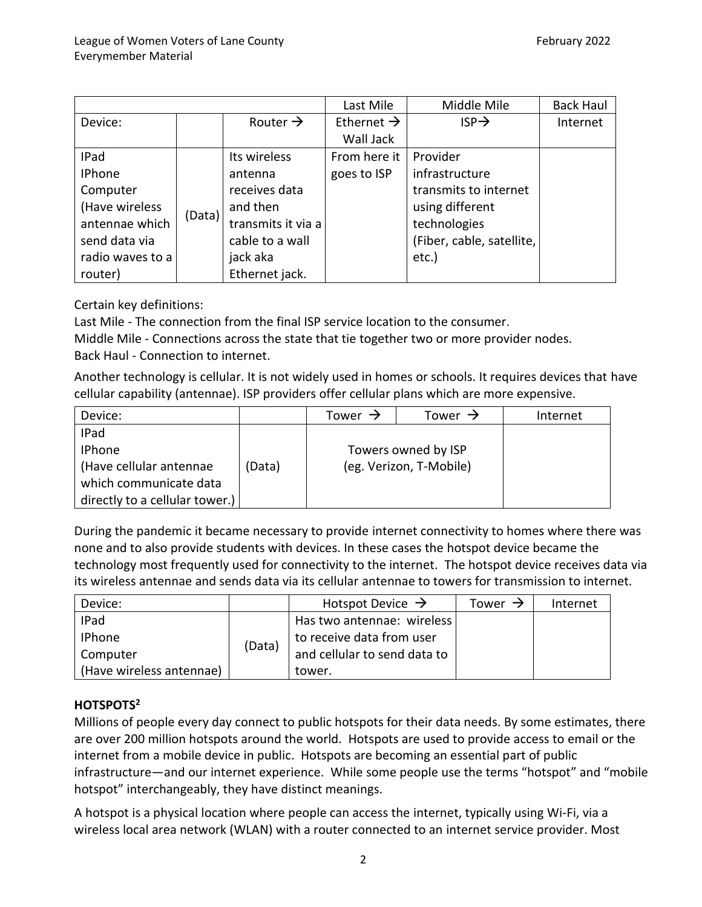|                  |        |                      | Last Mile              | Middle Mile               | <b>Back Haul</b> |
|------------------|--------|----------------------|------------------------|---------------------------|------------------|
| Device:          |        | Router $\rightarrow$ | Ethernet $\rightarrow$ | $ISP \rightarrow$         | Internet         |
|                  |        |                      | Wall Jack              |                           |                  |
| IPad             |        | Its wireless         | From here it           | Provider                  |                  |
| <b>IPhone</b>    |        | antenna              | goes to ISP            | infrastructure            |                  |
| Computer         |        | receives data        |                        | transmits to internet     |                  |
| (Have wireless   |        | and then             |                        | using different           |                  |
| antennae which   | (Data) | transmits it via a   |                        | technologies              |                  |
| send data via    |        | cable to a wall      |                        | (Fiber, cable, satellite, |                  |
| radio waves to a |        | jack aka             |                        | etc.)                     |                  |
| router)          |        | Ethernet jack.       |                        |                           |                  |

Certain key definitions:

Last Mile - The connection from the final ISP service location to the consumer.

Middle Mile - Connections across the state that tie together two or more provider nodes. Back Haul - Connection to internet.

Another technology is cellular. It is not widely used in homes or schools. It requires devices that have cellular capability (antennae). ISP providers offer cellular plans which are more expensive.

| Device:                        |        | Tower $\rightarrow$     | Tower $\rightarrow$ | Internet |
|--------------------------------|--------|-------------------------|---------------------|----------|
| IPad                           |        |                         |                     |          |
| <b>IPhone</b>                  |        | Towers owned by ISP     |                     |          |
| (Have cellular antennae        | 'Data) | (eg. Verizon, T-Mobile) |                     |          |
| which communicate data         |        |                         |                     |          |
| directly to a cellular tower.) |        |                         |                     |          |

During the pandemic it became necessary to provide internet connectivity to homes where there was none and to also provide students with devices. In these cases the hotspot device became the technology most frequently used for connectivity to the internet. The hotspot device receives data via its wireless antennae and sends data via its cellular antennae to towers for transmission to internet.

| Device:                  |        | Hotspot Device $\rightarrow$ | Tower $\rightarrow$ | Internet |
|--------------------------|--------|------------------------------|---------------------|----------|
| IPad                     |        | Has two antennae: wireless   |                     |          |
| <b>IPhone</b>            |        | to receive data from user    |                     |          |
| Computer                 | (Data) | and cellular to send data to |                     |          |
| (Have wireless antennae) |        | tower.                       |                     |          |

# **HOTSPOTS<sup>2</sup>**

Millions of people every day connect to public hotspots for their data needs. By some estimates, there are over 200 million hotspots around the world. Hotspots are used to provide access to email or the internet from a mobile device in public. Hotspots are becoming an essential part of public infrastructure—and our internet experience. While some people use the terms "hotspot" and "mobile hotspot" interchangeably, they have distinct meanings.

A hotspot is a physical location where people can access the internet, typically using Wi-Fi, via a wireless local area network (WLAN) with a router connected to an internet service provider. Most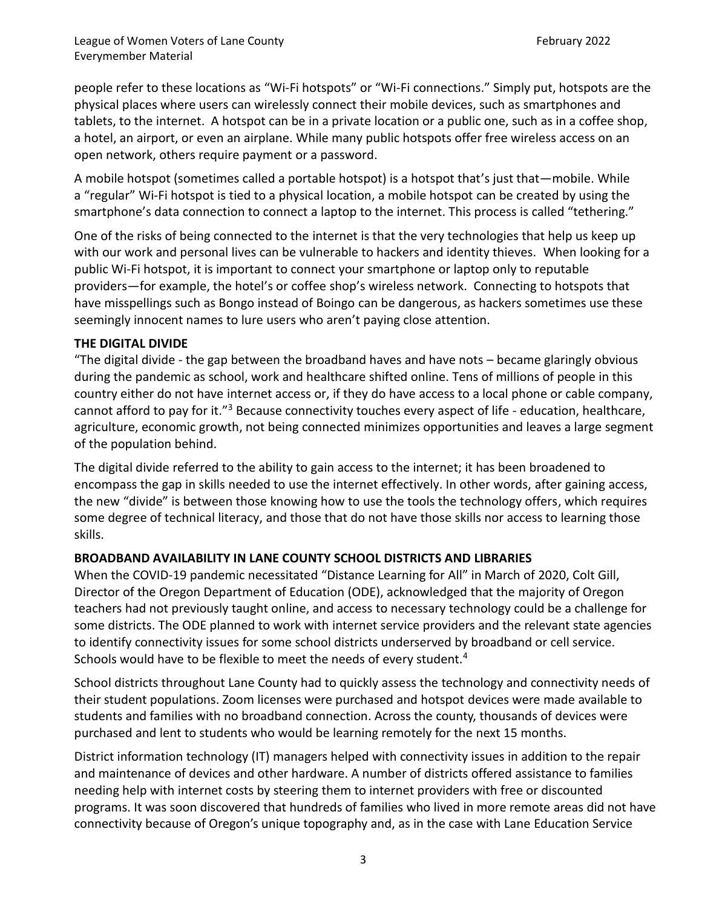people refer to these locations as "Wi-Fi hotspots" or "Wi-Fi connections." Simply put, hotspots are the physical places where users can wirelessly connect their mobile devices, such as smartphones and tablets, to the internet. A hotspot can be in a private location or a public one, such as in a coffee shop, a hotel, an airport, or even an airplane. While many public hotspots offer free wireless access on an open network, others require payment or a password.

A mobile hotspot (sometimes called a portable hotspot) is a hotspot that's just that—mobile. While a "regular" Wi-Fi hotspot is tied to a physical location, a mobile hotspot can be created by using the smartphone's data connection to connect a laptop to the internet. This process is called "tethering."

One of the risks of being connected to the internet is that the very technologies that help us keep up with our work and personal lives can be vulnerable to hackers and identity thieves. When looking for a public Wi-Fi hotspot, it is important to connect your smartphone or laptop only to reputable providers—for example, the hotel's or coffee shop's wireless network. Connecting to hotspots that have misspellings such as Bongo instead of Boingo can be dangerous, as hackers sometimes use these seemingly innocent names to lure users who aren't paying close attention.

### **THE DIGITAL DIVIDE**

"The digital divide - the gap between the broadband haves and have nots – became glaringly obvious during the pandemic as school, work and healthcare shifted online. Tens of millions of people in this country either do not have internet access or, if they do have access to a local phone or cable company, cannot afford to pay for it."<sup>3</sup> Because connectivity touches every aspect of life - education, healthcare, agriculture, economic growth, not being connected minimizes opportunities and leaves a large segment of the population behind.

The digital divide referred to the ability to gain access to the internet; it has been broadened to encompass the gap in skills needed to use the internet effectively. In other words, after gaining access, the new "divide" is between those knowing how to use the tools the technology offers, which requires some degree of technical literacy, and those that do not have those skills nor access to learning those skills.

### **BROADBAND AVAILABILITY IN LANE COUNTY SCHOOL DISTRICTS AND LIBRARIES**

When the COVID-19 pandemic necessitated "Distance Learning for All" in March of 2020, Colt Gill, Director of the Oregon Department of Education (ODE), acknowledged that the majority of Oregon teachers had not previously taught online, and access to necessary technology could be a challenge for some districts. The ODE planned to work with internet service providers and the relevant state agencies to identify connectivity issues for some school districts underserved by broadband or cell service. Schools would have to be flexible to meet the needs of every student.<sup>4</sup>

School districts throughout Lane County had to quickly assess the technology and connectivity needs of their student populations. Zoom licenses were purchased and hotspot devices were made available to students and families with no broadband connection. Across the county, thousands of devices were purchased and lent to students who would be learning remotely for the next 15 months.

District information technology (IT) managers helped with connectivity issues in addition to the repair and maintenance of devices and other hardware. A number of districts offered assistance to families needing help with internet costs by steering them to internet providers with free or discounted programs. It was soon discovered that hundreds of families who lived in more remote areas did not have connectivity because of Oregon's unique topography and, as in the case with Lane Education Service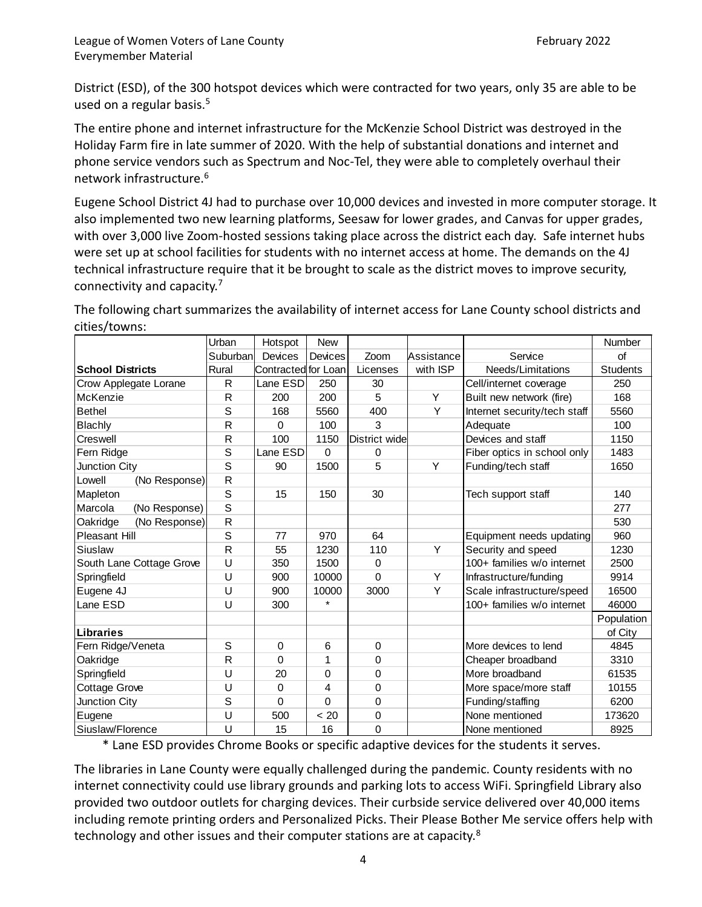District (ESD), of the 300 hotspot devices which were contracted for two years, only 35 are able to be used on a regular basis.<sup>5</sup>

The entire phone and internet infrastructure for the McKenzie School District was destroyed in the Holiday Farm fire in late summer of 2020. With the help of substantial donations and internet and phone service vendors such as Spectrum and Noc-Tel, they were able to completely overhaul their network infrastructure.<sup>6</sup>

Eugene School District 4J had to purchase over 10,000 devices and invested in more computer storage. It also implemented two new learning platforms, Seesaw for lower grades, and Canvas for upper grades, with over 3,000 live Zoom-hosted sessions taking place across the district each day. Safe internet hubs were set up at school facilities for students with no internet access at home. The demands on the 4J technical infrastructure require that it be brought to scale as the district moves to improve security, connectivity and capacity.<sup>7</sup>

|                          |               | Urban          | Hotspot             | <b>New</b> |               |            |                              | Number          |
|--------------------------|---------------|----------------|---------------------|------------|---------------|------------|------------------------------|-----------------|
|                          |               | Suburban       | Devices             | Devices    | Zoom          | Assistance | Service                      | of              |
| <b>School Districts</b>  |               | Rural          | Contracted for Loan |            | Licenses      | with ISP   | Needs/Limitations            | <b>Students</b> |
| Crow Applegate Lorane    |               | R              | Lane ESD            | 250        | 30            |            | Cell/internet coverage       | 250             |
| McKenzie                 |               | $\mathsf R$    | 200                 | 200        | 5             | Y          | Built new network (fire)     | 168             |
| <b>Bethel</b>            |               | S              | 168                 | 5560       | 400           | Y          | Internet security/tech staff | 5560            |
| Blachly                  |               | R              | $\Omega$            | 100        | 3             |            | Adequate                     | 100             |
| Creswell                 |               | R              | 100                 | 1150       | District wide |            | Devices and staff            | 1150            |
| Fern Ridge               |               | S              | Lane ESD            | $\Omega$   | $\Omega$      |            | Fiber optics in school only  | 1483            |
| Junction City            |               | S              | 90                  | 1500       | 5             | Y          | Funding/tech staff           | 1650            |
| Lowell                   | (No Response) | $\mathsf R$    |                     |            |               |            |                              |                 |
| Mapleton                 |               | S              | 15                  | 150        | 30            |            | Tech support staff           | 140             |
| Marcola                  | (No Response) | S              |                     |            |               |            |                              | 277             |
| Oakridge                 | (No Response) | $\overline{R}$ |                     |            |               |            |                              | 530             |
| <b>Pleasant Hill</b>     |               | S              | 77                  | 970        | 64            |            | Equipment needs updating     | 960             |
| Siuslaw                  |               | $\mathsf{R}$   | 55                  | 1230       | 110           | Y          | Security and speed           | 1230            |
| South Lane Cottage Grove |               | U              | 350                 | 1500       | $\Omega$      |            | 100+ families w/o internet   | 2500            |
| Springfield              |               | U              | 900                 | 10000      | $\Omega$      | Y          | Infrastructure/funding       | 9914            |
| Eugene 4J                |               | U              | 900                 | 10000      | 3000          | Y          | Scale infrastructure/speed   | 16500           |
| Lane ESD                 |               | U              | 300                 |            |               |            | 100+ families w/o internet   | 46000           |
|                          |               |                |                     |            |               |            |                              | Population      |
| <b>Libraries</b>         |               |                |                     |            |               |            |                              | of City         |
| Fern Ridge/Veneta        |               | S              | $\Omega$            | 6          | $\mathbf 0$   |            | More devices to lend         | 4845            |
| Oakridge                 |               | R              | $\Omega$            | 1          | $\Omega$      |            | Cheaper broadband            | 3310            |
| Springfield              |               | U              | 20                  | $\Omega$   | $\Omega$      |            | More broadband               | 61535           |
| <b>Cottage Grove</b>     |               | U              | $\mathbf 0$         | 4          | $\Omega$      |            | More space/more staff        | 10155           |
| Junction City            |               | S              | 0                   | $\Omega$   | $\Omega$      |            | Funding/staffing             | 6200            |
| Eugene                   |               | U              | 500                 | < 20       | $\Omega$      |            | None mentioned               | 173620          |
| Siuslaw/Florence         |               | U              | 15                  | 16         | $\mathbf 0$   |            | None mentioned               | 8925            |

The following chart summarizes the availability of internet access for Lane County school districts and cities/towns:

\* Lane ESD provides Chrome Books or specific adaptive devices for the students it serves.

The libraries in Lane County were equally challenged during the pandemic. County residents with no internet connectivity could use library grounds and parking lots to access WiFi. Springfield Library also provided two outdoor outlets for charging devices. Their curbside service delivered over 40,000 items including remote printing orders and Personalized Picks. Their Please Bother Me service offers help with technology and other issues and their computer stations are at capacity.<sup>8</sup>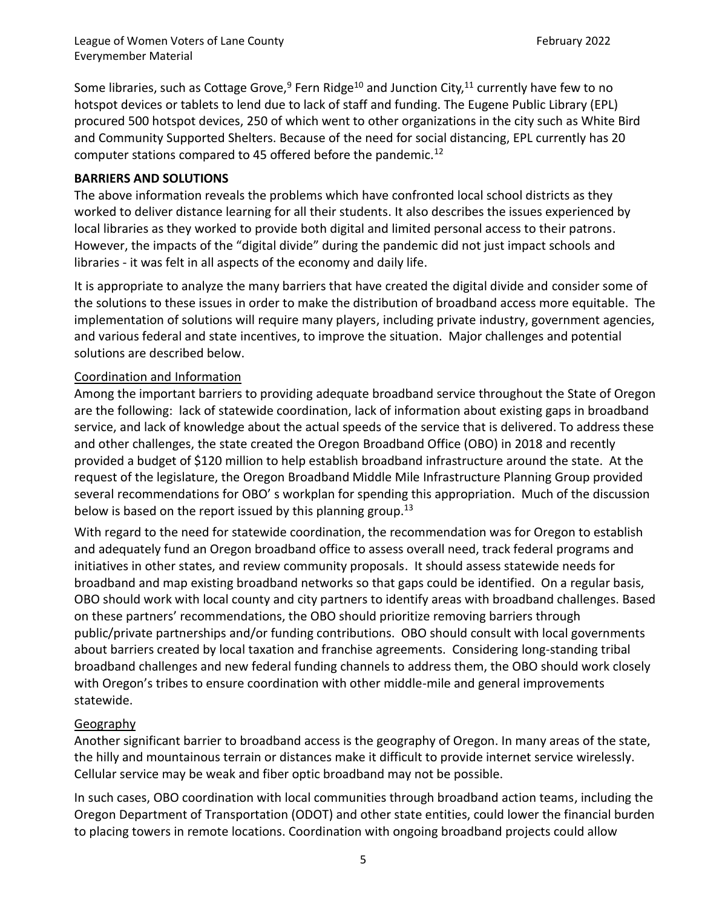Some libraries, such as Cottage Grove,<sup>9</sup> Fern Ridge<sup>10</sup> and Junction City,<sup>11</sup> currently have few to no hotspot devices or tablets to lend due to lack of staff and funding. The Eugene Public Library (EPL) procured 500 hotspot devices, 250 of which went to other organizations in the city such as White Bird and Community Supported Shelters. Because of the need for social distancing, EPL currently has 20 computer stations compared to 45 offered before the pandemic.<sup>12</sup>

### **BARRIERS AND SOLUTIONS**

The above information reveals the problems which have confronted local school districts as they worked to deliver distance learning for all their students. It also describes the issues experienced by local libraries as they worked to provide both digital and limited personal access to their patrons. However, the impacts of the "digital divide" during the pandemic did not just impact schools and libraries - it was felt in all aspects of the economy and daily life.

It is appropriate to analyze the many barriers that have created the digital divide and consider some of the solutions to these issues in order to make the distribution of broadband access more equitable. The implementation of solutions will require many players, including private industry, government agencies, and various federal and state incentives, to improve the situation. Major challenges and potential solutions are described below.

### Coordination and Information

Among the important barriers to providing adequate broadband service throughout the State of Oregon are the following: lack of statewide coordination, lack of information about existing gaps in broadband service, and lack of knowledge about the actual speeds of the service that is delivered. To address these and other challenges, the state created the Oregon Broadband Office (OBO) in 2018 and recently provided a budget of \$120 million to help establish broadband infrastructure around the state. At the request of the legislature, the Oregon Broadband Middle Mile Infrastructure Planning Group provided several recommendations for OBO' s workplan for spending this appropriation. Much of the discussion below is based on the report issued by this planning group.<sup>13</sup>

With regard to the need for statewide coordination, the recommendation was for Oregon to establish and adequately fund an Oregon broadband office to assess overall need, track federal programs and initiatives in other states, and review community proposals. It should assess statewide needs for broadband and map existing broadband networks so that gaps could be identified. On a regular basis, OBO should work with local county and city partners to identify areas with broadband challenges. Based on these partners' recommendations, the OBO should prioritize removing barriers through public/private partnerships and/or funding contributions. OBO should consult with local governments about barriers created by local taxation and franchise agreements. Considering long-standing tribal broadband challenges and new federal funding channels to address them, the OBO should work closely with Oregon's tribes to ensure coordination with other middle-mile and general improvements statewide.

### Geography

Another significant barrier to broadband access is the geography of Oregon. In many areas of the state, the hilly and mountainous terrain or distances make it difficult to provide internet service wirelessly. Cellular service may be weak and fiber optic broadband may not be possible.

In such cases, OBO coordination with local communities through broadband action teams, including the Oregon Department of Transportation (ODOT) and other state entities, could lower the financial burden to placing towers in remote locations. Coordination with ongoing broadband projects could allow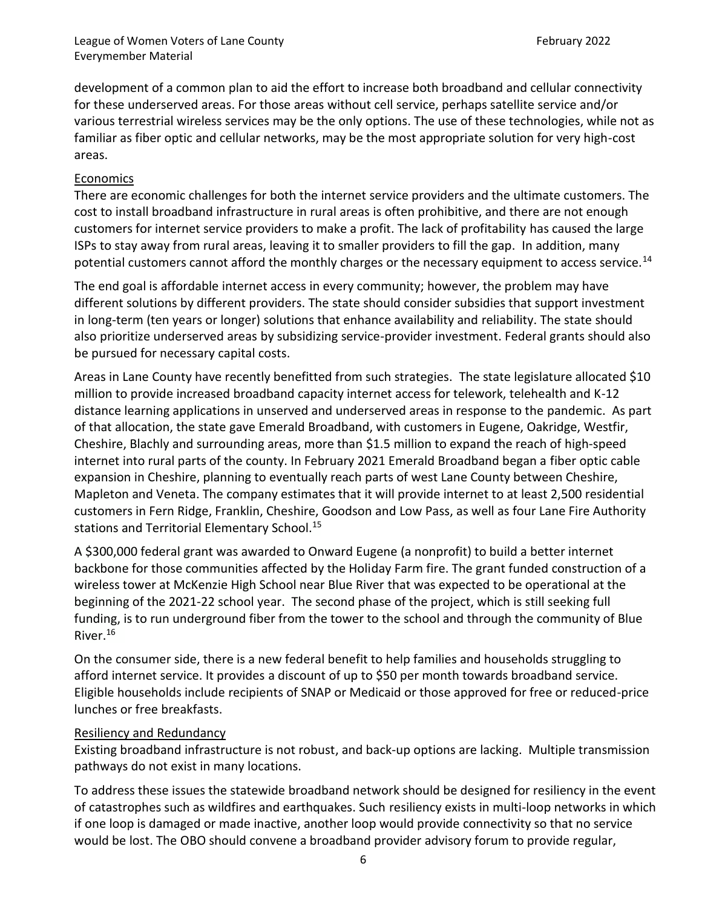development of a common plan to aid the effort to increase both broadband and cellular connectivity for these underserved areas. For those areas without cell service, perhaps satellite service and/or various terrestrial wireless services may be the only options. The use of these technologies, while not as familiar as fiber optic and cellular networks, may be the most appropriate solution for very high-cost areas.

### Economics

There are economic challenges for both the internet service providers and the ultimate customers. The cost to install broadband infrastructure in rural areas is often prohibitive, and there are not enough customers for internet service providers to make a profit. The lack of profitability has caused the large ISPs to stay away from rural areas, leaving it to smaller providers to fill the gap. In addition, many potential customers cannot afford the monthly charges or the necessary equipment to access service.<sup>14</sup>

The end goal is affordable internet access in every community; however, the problem may have different solutions by different providers. The state should consider subsidies that support investment in long-term (ten years or longer) solutions that enhance availability and reliability. The state should also prioritize underserved areas by subsidizing service-provider investment. Federal grants should also be pursued for necessary capital costs.

Areas in Lane County have recently benefitted from such strategies. The state legislature allocated \$10 million to provide increased broadband capacity internet access for telework, telehealth and K-12 distance learning applications in unserved and underserved areas in response to the pandemic. As part of that allocation, the state gave Emerald Broadband, with customers in Eugene, Oakridge, Westfir, Cheshire, Blachly and surrounding areas, more than \$1.5 million to expand the reach of high-speed internet into rural parts of the county. In February 2021 Emerald Broadband began a fiber optic cable expansion in Cheshire, planning to eventually reach parts of west Lane County between Cheshire, Mapleton and Veneta. The company estimates that it will provide internet to at least 2,500 residential customers in Fern Ridge, Franklin, Cheshire, Goodson and Low Pass, as well as four Lane Fire Authority stations and Territorial Elementary School.<sup>15</sup>

A \$300,000 federal grant was awarded to Onward Eugene (a nonprofit) to build a better internet backbone for those communities affected by the Holiday Farm fire. The grant funded construction of a wireless tower at McKenzie High School near Blue River that was expected to be operational at the beginning of the 2021-22 school year. The second phase of the project, which is still seeking full funding, is to run underground fiber from the tower to the school and through the community of Blue River.<sup>16</sup>

On the consumer side, there is a new federal benefit to help families and households struggling to afford internet service. It provides a discount of up to \$50 per month towards broadband service. Eligible households include recipients of SNAP or Medicaid or those approved for free or reduced-price lunches or free breakfasts.

#### Resiliency and Redundancy

Existing broadband infrastructure is not robust, and back-up options are lacking. Multiple transmission pathways do not exist in many locations.

To address these issues the statewide broadband network should be designed for resiliency in the event of catastrophes such as wildfires and earthquakes. Such resiliency exists in multi-loop networks in which if one loop is damaged or made inactive, another loop would provide connectivity so that no service would be lost. The OBO should convene a broadband provider advisory forum to provide regular,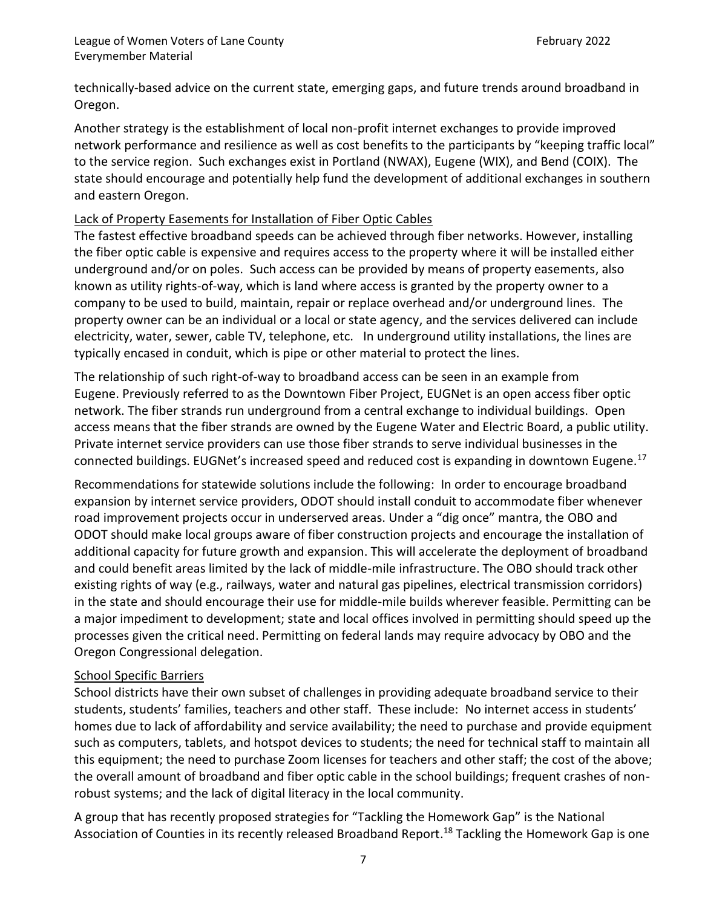technically-based advice on the current state, emerging gaps, and future trends around broadband in Oregon.

Another strategy is the establishment of local non-profit internet exchanges to provide improved network performance and resilience as well as cost benefits to the participants by "keeping traffic local" to the service region. Such exchanges exist in Portland (NWAX), Eugene (WIX), and Bend (COIX). The state should encourage and potentially help fund the development of additional exchanges in southern and eastern Oregon.

### Lack of Property Easements for Installation of Fiber Optic Cables

The fastest effective broadband speeds can be achieved through fiber networks. However, installing the fiber optic cable is expensive and requires access to the property where it will be installed either underground and/or on poles. Such access can be provided by means of property easements, also known as utility rights-of-way, which is land where access is granted by the property owner to a company to be used to build, maintain, repair or replace overhead and/or underground lines. The property owner can be an individual or a local or state agency, and the services delivered can include electricity, water, sewer, cable TV, telephone, etc. In underground utility installations, the lines are typically encased in conduit, which is pipe or other material to protect the lines.

The relationship of such right-of-way to broadband access can be seen in an example from Eugene. Previously referred to as the Downtown Fiber Project, EUGNet is an open access fiber optic network. The fiber strands run underground from a central exchange to individual buildings. Open access means that the fiber strands are owned by the Eugene Water and Electric Board, a public utility. Private internet service providers can use those fiber strands to serve individual businesses in the connected buildings. EUGNet's increased speed and reduced cost is expanding in downtown Eugene.<sup>17</sup>

Recommendations for statewide solutions include the following: In order to encourage broadband expansion by internet service providers, ODOT should install conduit to accommodate fiber whenever road improvement projects occur in underserved areas. Under a "dig once" mantra, the OBO and ODOT should make local groups aware of fiber construction projects and encourage the installation of additional capacity for future growth and expansion. This will accelerate the deployment of broadband and could benefit areas limited by the lack of middle-mile infrastructure. The OBO should track other existing rights of way (e.g., railways, water and natural gas pipelines, electrical transmission corridors) in the state and should encourage their use for middle-mile builds wherever feasible. Permitting can be a major impediment to development; state and local offices involved in permitting should speed up the processes given the critical need. Permitting on federal lands may require advocacy by OBO and the Oregon Congressional delegation.

### School Specific Barriers

School districts have their own subset of challenges in providing adequate broadband service to their students, students' families, teachers and other staff. These include: No internet access in students' homes due to lack of affordability and service availability; the need to purchase and provide equipment such as computers, tablets, and hotspot devices to students; the need for technical staff to maintain all this equipment; the need to purchase Zoom licenses for teachers and other staff; the cost of the above; the overall amount of broadband and fiber optic cable in the school buildings; frequent crashes of nonrobust systems; and the lack of digital literacy in the local community.

A group that has recently proposed strategies for "Tackling the Homework Gap" is the National Association of Counties in its recently released Broadband Report. <sup>18</sup> Tackling the Homework Gap is one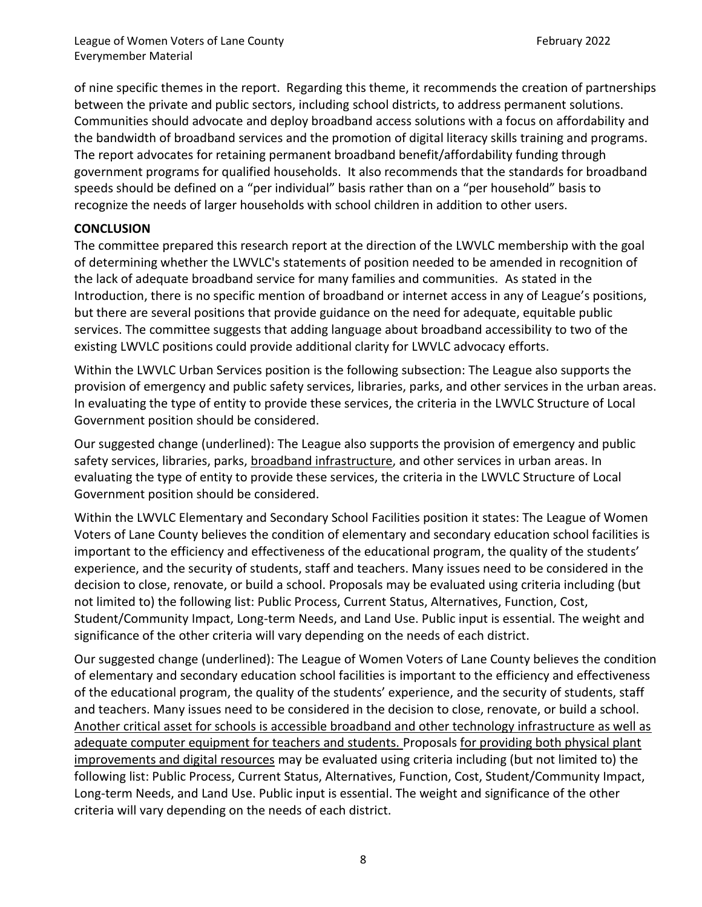of nine specific themes in the report. Regarding this theme, it recommends the creation of partnerships between the private and public sectors, including school districts, to address permanent solutions. Communities should advocate and deploy broadband access solutions with a focus on affordability and the bandwidth of broadband services and the promotion of digital literacy skills training and programs. The report advocates for retaining permanent broadband benefit/affordability funding through government programs for qualified households. It also recommends that the standards for broadband speeds should be defined on a "per individual" basis rather than on a "per household" basis to recognize the needs of larger households with school children in addition to other users.

### **CONCLUSION**

The committee prepared this research report at the direction of the LWVLC membership with the goal of determining whether the LWVLC's statements of position needed to be amended in recognition of the lack of adequate broadband service for many families and communities. As stated in the Introduction, there is no specific mention of broadband or internet access in any of League's positions, but there are several positions that provide guidance on the need for adequate, equitable public services. The committee suggests that adding language about broadband accessibility to two of the existing LWVLC positions could provide additional clarity for LWVLC advocacy efforts.

Within the LWVLC Urban Services position is the following subsection: The League also supports the provision of emergency and public safety services, libraries, parks, and other services in the urban areas. In evaluating the type of entity to provide these services, the criteria in the LWVLC Structure of Local Government position should be considered.

Our suggested change (underlined): The League also supports the provision of emergency and public safety services, libraries, parks, broadband infrastructure, and other services in urban areas. In evaluating the type of entity to provide these services, the criteria in the LWVLC Structure of Local Government position should be considered.

Within the LWVLC Elementary and Secondary School Facilities position it states: The League of Women Voters of Lane County believes the condition of elementary and secondary education school facilities is important to the efficiency and effectiveness of the educational program, the quality of the students' experience, and the security of students, staff and teachers. Many issues need to be considered in the decision to close, renovate, or build a school. Proposals may be evaluated using criteria including (but not limited to) the following list: Public Process, Current Status, Alternatives, Function, Cost, Student/Community Impact, Long-term Needs, and Land Use. Public input is essential. The weight and significance of the other criteria will vary depending on the needs of each district.

Our suggested change (underlined): The League of Women Voters of Lane County believes the condition of elementary and secondary education school facilities is important to the efficiency and effectiveness of the educational program, the quality of the students' experience, and the security of students, staff and teachers. Many issues need to be considered in the decision to close, renovate, or build a school. Another critical asset for schools is accessible broadband and other technology infrastructure as well as adequate computer equipment for teachers and students. Proposals for providing both physical plant improvements and digital resources may be evaluated using criteria including (but not limited to) the following list: Public Process, Current Status, Alternatives, Function, Cost, Student/Community Impact, Long-term Needs, and Land Use. Public input is essential. The weight and significance of the other criteria will vary depending on the needs of each district.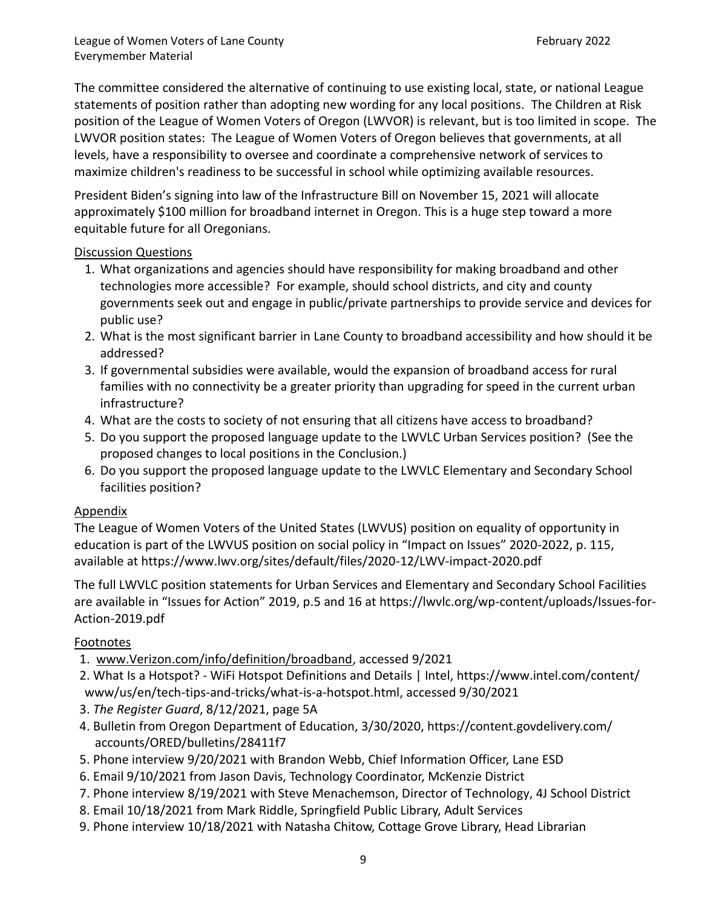League of Women Voters of Lane County **February 2022** Everymember Material

The committee considered the alternative of continuing to use existing local, state, or national League statements of position rather than adopting new wording for any local positions. The Children at Risk position of the League of Women Voters of Oregon (LWVOR) is relevant, but is too limited in scope. The LWVOR position states: The League of Women Voters of Oregon believes that governments, at all levels, have a responsibility to oversee and coordinate a comprehensive network of services to maximize children's readiness to be successful in school while optimizing available resources.

President Biden's signing into law of the Infrastructure Bill on November 15, 2021 will allocate approximately \$100 million for broadband internet in Oregon. This is a huge step toward a more equitable future for all Oregonians.

#### Discussion Questions

- 1. What organizations and agencies should have responsibility for making broadband and other technologies more accessible? For example, should school districts, and city and county governments seek out and engage in public/private partnerships to provide service and devices for public use?
- 2. What is the most significant barrier in Lane County to broadband accessibility and how should it be addressed?
- 3. If governmental subsidies were available, would the expansion of broadband access for rural families with no connectivity be a greater priority than upgrading for speed in the current urban infrastructure?
- 4. What are the costs to society of not ensuring that all citizens have access to broadband?
- 5. Do you support the proposed language update to the LWVLC Urban Services position? (See the proposed changes to local positions in the Conclusion.)
- 6. Do you support the proposed language update to the LWVLC Elementary and Secondary School facilities position?

#### Appendix

The League of Women Voters of the United States (LWVUS) position on equality of opportunity in education is part of the LWVUS position on social policy in "Impact on Issues" 2020-2022, p. 115, available at<https://www.lwv.org/sites/default/files/2020-12/LWV-impact-2020.pdf>

The full LWVLC position statements for Urban Services and Elementary and Secondary School Facilities are available in "Issues for Action" 2019, p.5 and 16 at https://lwvlc.org/wp-content/uploads/Issues-for-Action-2019.pdf

#### Footnotes

- 1. [www.Verizon.com/info/definition/broadband,](http://www.verizon.com/info/definition/broadband) accessed 9/2021
- 2. What Is a Hotspot? [WiFi Hotspot Definitions and Details | Intel,](https://www.intel.com/content/www/us/en/tech-tips-and-tricks/what-is-a-hotspot.html) <https://www.intel.com/content/> www/us/en/tech-tips-and-tricks/what-is-a-hotspot.html, accessed 9/30/2021
- 3. *The Register Guard*, 8/12/2021, page 5A
- 4. Bulletin from Oregon Department of Education, 3/30/2020, [https://content.govdelivery.com/](https://content.govdelivery.com/%20accounts/ORED/bulletins/28411f7)  [accounts/ORED/bulletins/28411f7](https://content.govdelivery.com/%20accounts/ORED/bulletins/28411f7)
- 5. Phone interview 9/20/2021 with Brandon Webb, Chief Information Officer, Lane ESD
- 6. Email 9/10/2021 from Jason Davis, Technology Coordinator, McKenzie District
- 7. Phone interview 8/19/2021 with Steve Menachemson, Director of Technology, 4J School District
- 8. Email 10/18/2021 from Mark Riddle, Springfield Public Library, Adult Services
- 9. Phone interview 10/18/2021 with Natasha Chitow, Cottage Grove Library, Head Librarian